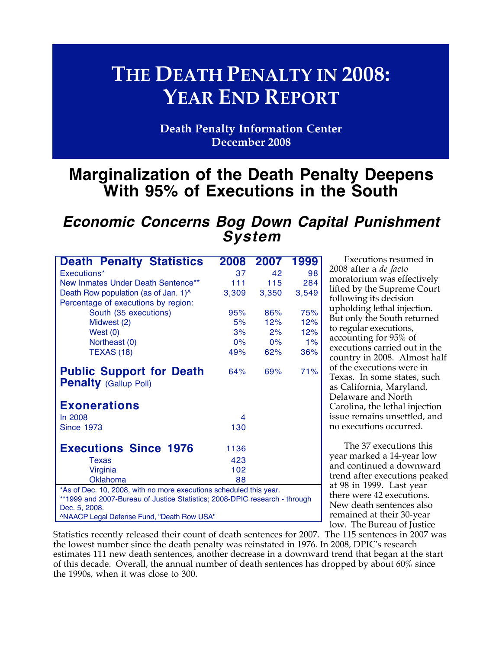# **THE DEATH PENALTY IN 2008: YEAR END REPORT**

**Death Penalty Information Center December 2008**

## **Marginalization of the Death Penalty Deepens With 95% of Executions in the South**

## **Economic Concerns Bog Down Capital Punishment System**

| <b>Death Penalty Statistics</b>                                            | 2008  | 2007  | 1999  |  |
|----------------------------------------------------------------------------|-------|-------|-------|--|
| Executions*                                                                | 37    | 42    | 98    |  |
| New Inmates Under Death Sentence**                                         | 111   | 115   | 284   |  |
| Death Row population (as of Jan. 1) <sup>^</sup>                           | 3,309 | 3,350 | 3,549 |  |
| Percentage of executions by region:                                        |       |       |       |  |
| South (35 executions)                                                      | 95%   | 86%   | 75%   |  |
| Midwest (2)                                                                | 5%    | 12%   | 12%   |  |
| West $(0)$                                                                 | 3%    | 2%    | 12%   |  |
| Northeast (0)                                                              | $0\%$ | $0\%$ | 1%    |  |
| <b>TEXAS (18)</b>                                                          | 49%   | 62%   | 36%   |  |
| <b>Public Support for Death</b><br><b>Penalty (Gallup Poll)</b>            | 64%   | 69%   | 71%   |  |
| <b>Exonerations</b>                                                        |       |       |       |  |
| In 2008                                                                    | 4     |       |       |  |
| <b>Since 1973</b>                                                          | 130   |       |       |  |
| <b>Executions Since 1976</b>                                               | 1136  |       |       |  |
| Texas                                                                      | 423   |       |       |  |
| Virginia                                                                   | 102   |       |       |  |
| Oklahoma                                                                   | 88    |       |       |  |
| *As of Dec. 10, 2008, with no more executions scheduled this year.         |       |       |       |  |
| **1999 and 2007-Bureau of Justice Statistics; 2008-DPIC research - through |       |       |       |  |
| Dec. 5, 2008.                                                              |       |       |       |  |

^NAACP Legal Defense Fund, "Death Row USA"

Executions resumed in 2008 after a *de facto* moratorium was effectively lifted by the Supreme Court following its decision upholding lethal injection. But only the South returned to regular executions, accounting for 95% of executions carried out in the country in 2008. Almost half of the executions were in Texas. In some states, such as California, Maryland, Delaware and North Carolina, the lethal injection issue remains unsettled, and no executions occurred.

The 37 executions this year marked a 14-year low and continued a downward trend after executions peaked at 98 in 1999. Last year there were 42 executions. New death sentences also remained at their 30-year low. The Bureau of Justice

Statistics recently released their count of death sentences for 2007. The 115 sentences in 2007 was the lowest number since the death penalty was reinstated in 1976. In 2008, DPIC's research estimates 111 new death sentences, another decrease in a downward trend that began at the start of this decade. Overall, the annual number of death sentences has dropped by about 60% since the 1990s, when it was close to 300.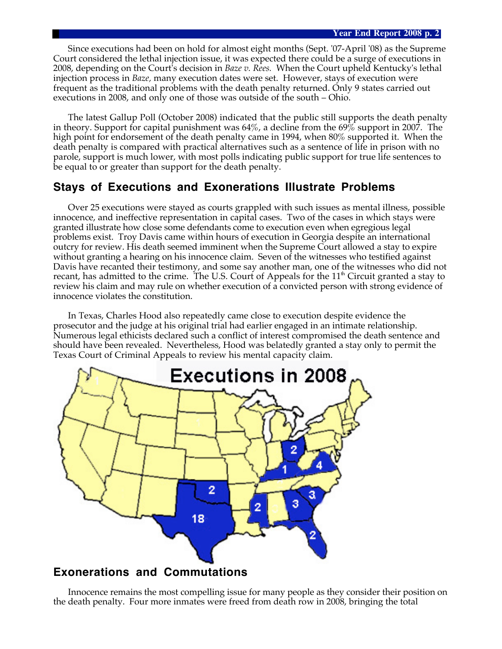Since executions had been on hold for almost eight months (Sept. '07-April '08) as the Supreme Court considered the lethal injection issue, it was expected there could be a surge of executions in 2008, depending on the Court's decision in *Baze v. Rees.* When the Court upheld Kentucky's lethal injection process in *Baze,* many execution dates were set. However, stays of execution were frequent as the traditional problems with the death penalty returned. Only 9 states carried out executions in 2008, and only one of those was outside of the south – Ohio.

The latest Gallup Poll (October 2008) indicated that the public still supports the death penalty in theory. Support for capital punishment was 64%, a decline from the 69% support in 2007. The high point for endorsement of the death penalty came in 1994, when 80% supported it. When the death penalty is compared with practical alternatives such as a sentence of life in prison with no parole, support is much lower, with most polls indicating public support for true life sentences to be equal to or greater than support for the death penalty.

## **Stays of Executions and Exonerations Illustrate Problems**

Over 25 executions were stayed as courts grappled with such issues as mental illness, possible innocence, and ineffective representation in capital cases. Two of the cases in which stays were granted illustrate how close some defendants come to execution even when egregious legal problems exist. Troy Davis came within hours of execution in Georgia despite an international outcry for review. His death seemed imminent when the Supreme Court allowed a stay to expire without granting a hearing on his innocence claim. Seven of the witnesses who testified against Davis have recanted their testimony, and some say another man, one of the witnesses who did not recant, has admitted to the crime. The U.S. Court of Appeals for the  $11<sup>th</sup>$  Circuit granted a stay to review his claim and may rule on whether execution of a convicted person with strong evidence of innocence violates the constitution.

In Texas, Charles Hood also repeatedly came close to execution despite evidence the prosecutor and the judge at his original trial had earlier engaged in an intimate relationship. Numerous legal ethicists declared such a conflict of interest compromised the death sentence and should have been revealed. Nevertheless, Hood was belatedly granted a stay only to permit the Texas Court of Criminal Appeals to review his mental capacity claim.



### **Exonerations and Commutations**

Innocence remains the most compelling issue for many people as they consider their position on the death penalty. Four more inmates were freed from death row in 2008, bringing the total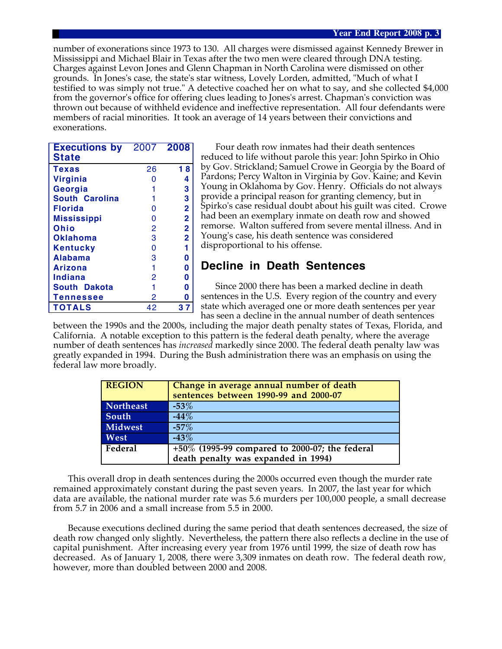number of exonerations since 1973 to 130. All charges were dismissed against Kennedy Brewer in Mississippi and Michael Blair in Texas after the two men were cleared through DNA testing. Charges against Levon Jones and Glenn Chapman in North Carolina were dismissed on other grounds. In Jones's case, the state's star witness, Lovely Lorden, admitted, "Much of what I testified to was simply not true." A detective coached her on what to say, and she collected \$4,000 from the governor's office for offering clues leading to Jones's arrest. Chapman's conviction was thrown out because of withheld evidence and ineffective representation. All four defendants were members of racial minorities. It took an average of 14 years between their convictions and exonerations.

| <b>Executions by</b><br><b>State</b> | 2007 2008      |                         |
|--------------------------------------|----------------|-------------------------|
|                                      |                |                         |
| Texas                                | 26             | 18                      |
| <b>Virginia</b>                      | O              | 4                       |
| Georgia                              |                | 3                       |
| South Carolina                       |                | 3                       |
| Florida                              | 0              | $\overline{\mathbf{2}}$ |
| <b>Mississippi</b>                   | 0              | $\overline{\mathbf{2}}$ |
| Ohio                                 | 2              | $\overline{\mathbf{2}}$ |
| <b>Oklahoma</b>                      | 3              | $\overline{2}$          |
| <b>Kentucky</b>                      | 0              | 1                       |
| <b>Alabama</b>                       | 3              | 0                       |
| Arizona                              | 1              | 0                       |
| Indiana                              | $\overline{2}$ | 0                       |
| South Dakota                         |                | 0                       |
| Tennessee                            | 2              | 0                       |
| <b>TOTALS</b>                        | 42             | 37                      |

Four death row inmates had their death sentences reduced to life without parole this year: John Spirko in Ohio by Gov. Strickland; Samuel Crowe in Georgia by the Board of Pardons; Percy Walton in Virginia by Gov. Kaine; and Kevin Young in Oklahoma by Gov. Henry. Officials do not always provide a principal reason for granting clemency, but in Spirko's case residual doubt about his guilt was cited. Crowe had been an exemplary inmate on death row and showed remorse. Walton suffered from severe mental illness. And in Young's case, his death sentence was considered disproportional to his offense.

## **Decline in Death Sentences**

Since 2000 there has been a marked decline in death sentences in the U.S. Every region of the country and every state which averaged one or more death sentences per year has seen a decline in the annual number of death sentences

between the 1990s and the 2000s, including the major death penalty states of Texas, Florida, and California. A notable exception to this pattern is the federal death penalty, where the average number of death sentences has *increased* markedly since 2000. The federal death penalty law was greatly expanded in 1994. During the Bush administration there was an emphasis on using the federal law more broadly.

| <b>REGION</b> | Change in average annual number of death<br>sentences between 1990-99 and 2000-07 |
|---------------|-----------------------------------------------------------------------------------|
| Northeast     | $-53\%$                                                                           |
| South         | $-44%$                                                                            |
| Midwest       | $-57\%$                                                                           |
| West          | $-43%$                                                                            |
| Federal       | +50% (1995-99 compared to 2000-07; the federal                                    |
|               | death penalty was expanded in 1994)                                               |

This overall drop in death sentences during the 2000s occurred even though the murder rate remained approximately constant during the past seven years. In 2007, the last year for which data are available, the national murder rate was 5.6 murders per 100,000 people, a small decrease from 5.7 in 2006 and a small increase from 5.5 in 2000.

Because executions declined during the same period that death sentences decreased, the size of death row changed only slightly. Nevertheless, the pattern there also reflects a decline in the use of capital punishment. After increasing every year from 1976 until 1999, the size of death row has decreased. As of January 1, 2008, there were 3,309 inmates on death row. The federal death row, however, more than doubled between 2000 and 2008.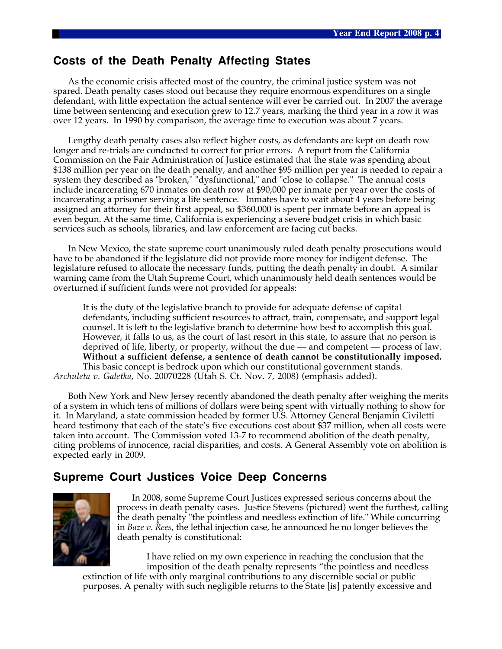### **Costs of the Death Penalty Affecting States**

As the economic crisis affected most of the country, the criminal justice system was not spared. Death penalty cases stood out because they require enormous expenditures on a single defendant, with little expectation the actual sentence will ever be carried out. In 2007 the average time between sentencing and execution grew to 12.7 years, marking the third year in a row it was over 12 years. In 1990 by comparison, the average time to execution was about 7 years.

Lengthy death penalty cases also reflect higher costs, as defendants are kept on death row longer and re-trials are conducted to correct for prior errors. A report from the California Commission on the Fair Administration of Justice estimated that the state was spending about \$138 million per year on the death penalty, and another \$95 million per year is needed to repair a system they described as "broken," "dysfunctional," and "close to collapse." The annual costs include incarcerating 670 inmates on death row at \$90,000 per inmate per year over the costs of incarcerating a prisoner serving a life sentence. Inmates have to wait about 4 years before being assigned an attorney for their first appeal, so \$360,000 is spent per inmate before an appeal is even begun. At the same time, California is experiencing a severe budget crisis in which basic services such as schools, libraries, and law enforcement are facing cut backs.

In New Mexico, the state supreme court unanimously ruled death penalty prosecutions would have to be abandoned if the legislature did not provide more money for indigent defense. The legislature refused to allocate the necessary funds, putting the death penalty in doubt. A similar warning came from the Utah Supreme Court, which unanimously held death sentences would be overturned if sufficient funds were not provided for appeals:

It is the duty of the legislative branch to provide for adequate defense of capital defendants, including sufficient resources to attract, train, compensate, and support legal counsel. It is left to the legislative branch to determine how best to accomplish this goal. However, it falls to us, as the court of last resort in this state, to assure that no person is deprived of life, liberty, or property, without the due — and competent — process of law. **Without a sufficient defense, a sentence of death cannot be constitutionally imposed.** This basic concept is bedrock upon which our constitutional government stands. *Archuleta v. Galetka*, No. 20070228 (Utah S. Ct. Nov. 7, 2008) (emphasis added).

Both New York and New Jersey recently abandoned the death penalty after weighing the merits of a system in which tens of millions of dollars were being spent with virtually nothing to show for it. In Maryland, a state commission headed by former U.S. Attorney General Benjamin Civiletti heard testimony that each of the state's five executions cost about \$37 million, when all costs were taken into account. The Commission voted 13-7 to recommend abolition of the death penalty, citing problems of innocence, racial disparities, and costs. A General Assembly vote on abolition is expected early in 2009.

## **Supreme Court Justices Voice Deep Concerns**



In 2008, some Supreme Court Justices expressed serious concerns about the process in death penalty cases. Justice Stevens (pictured) went the furthest, calling the death penalty "the pointless and needless extinction of life." While concurring in *Baze v. Rees*, the lethal injection case, he announced he no longer believes the death penalty is constitutional:

I have relied on my own experience in reaching the conclusion that the imposition of the death penalty represents "the pointless and needless

extinction of life with only marginal contributions to any discernible social or public purposes. A penalty with such negligible returns to the State [is] patently excessive and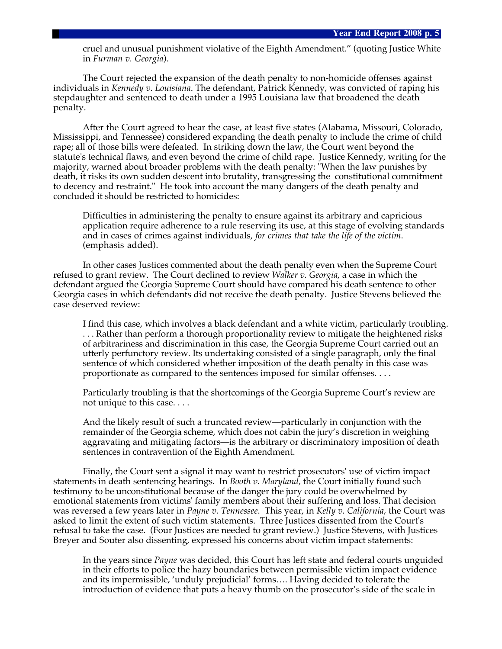cruel and unusual punishment violative of the Eighth Amendment." (quoting Justice White in *Furman v. Georgia*).

The Court rejected the expansion of the death penalty to non-homicide offenses against individuals in *Kennedy v. Louisiana*. The defendant, Patrick Kennedy, was convicted of raping his stepdaughter and sentenced to death under a 1995 Louisiana law that broadened the death penalty.

After the Court agreed to hear the case, at least five states (Alabama, Missouri, Colorado, Mississippi, and Tennessee) considered expanding the death penalty to include the crime of child rape; all of those bills were defeated. In striking down the law, the Court went beyond the statute's technical flaws, and even beyond the crime of child rape. Justice Kennedy, writing for the majority, warned about broader problems with the death penalty: "When the law punishes by death, it risks its own sudden descent into brutality, transgressing the constitutional commitment to decency and restraint." He took into account the many dangers of the death penalty and concluded it should be restricted to homicides:

Difficulties in administering the penalty to ensure against its arbitrary and capricious application require adherence to a rule reserving its use, at this stage of evolving standards and in cases of crimes against individuals, *for crimes that take the life of the victim*. (emphasis added).

In other cases Justices commented about the death penalty even when the Supreme Court refused to grant review. The Court declined to review *Walker v. Georgia*, a case in which the defendant argued the Georgia Supreme Court should have compared his death sentence to other Georgia cases in which defendants did not receive the death penalty. Justice Stevens believed the case deserved review:

I find this case, which involves a black defendant and a white victim, particularly troubling. . . . Rather than perform a thorough proportionality review to mitigate the heightened risks of arbitrariness and discrimination in this case, the Georgia Supreme Court carried out an utterly perfunctory review. Its undertaking consisted of a single paragraph, only the final sentence of which considered whether imposition of the death penalty in this case was proportionate as compared to the sentences imposed for similar offenses. . . .

Particularly troubling is that the shortcomings of the Georgia Supreme Court's review are not unique to this case. . . .

And the likely result of such a truncated review—particularly in conjunction with the remainder of the Georgia scheme, which does not cabin the jury's discretion in weighing aggravating and mitigating factors—is the arbitrary or discriminatory imposition of death sentences in contravention of the Eighth Amendment.

Finally, the Court sent a signal it may want to restrict prosecutors' use of victim impact statements in death sentencing hearings. In *Booth v. Maryland,* the Court initially found such testimony to be unconstitutional because of the danger the jury could be overwhelmed by emotional statements from victims' family members about their suffering and loss. That decision was reversed a few years later in *Payne v. Tennessee*. This year, in *Kelly v. California*, the Court was asked to limit the extent of such victim statements. Three Justices dissented from the Court's refusal to take the case. (Four Justices are needed to grant review.) Justice Stevens, with Justices Breyer and Souter also dissenting, expressed his concerns about victim impact statements:

In the years since *Payne* was decided, this Court has left state and federal courts unguided in their efforts to police the hazy boundaries between permissible victim impact evidence and its impermissible, 'unduly prejudicial' forms…. Having decided to tolerate the introduction of evidence that puts a heavy thumb on the prosecutor's side of the scale in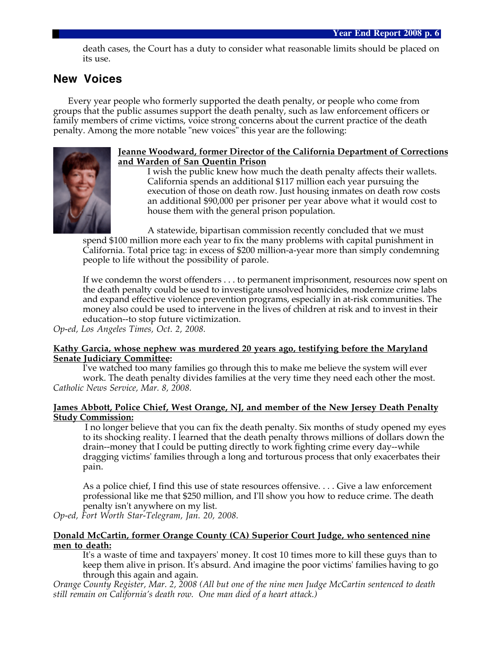death cases, the Court has a duty to consider what reasonable limits should be placed on its use.

## **New Voices**

Every year people who formerly supported the death penalty, or people who come from groups that the public assumes support the death penalty, such as law enforcement officers or family members of crime victims, voice strong concerns about the current practice of the death penalty. Among the more notable "new voices" this year are the following:



#### **Jeanne Woodward, former Director of the California Department of Corrections and Warden of San Quentin Prison**

I wish the public knew how much the death penalty affects their wallets. California spends an additional \$117 million each year pursuing the execution of those on death row. Just housing inmates on death row costs an additional \$90,000 per prisoner per year above what it would cost to house them with the general prison population.

A statewide, bipartisan commission recently concluded that we must spend \$100 million more each year to fix the many problems with capital punishment in California. Total price tag: in excess of \$200 million-a-year more than simply condemning people to life without the possibility of parole.

If we condemn the worst offenders . . . to permanent imprisonment, resources now spent on the death penalty could be used to investigate unsolved homicides, modernize crime labs and expand effective violence prevention programs, especially in at-risk communities. The money also could be used to intervene in the lives of children at risk and to invest in their education--to stop future victimization.

*Op-ed, Los Angeles Times, Oct. 2, 2008.*

#### **Kathy Garcia, whose nephew was murdered 20 years ago, testifying before the Maryland Senate Judiciary Committee:**

I've watched too many families go through this to make me believe the system will ever work. The death penalty divides families at the very time they need each other the most. *Catholic News Service, Mar. 8, 2008.*

#### **James Abbott, Police Chief, West Orange, NJ, and member of the New Jersey Death Penalty Study Commission:**

 I no longer believe that you can fix the death penalty. Six months of study opened my eyes to its shocking reality. I learned that the death penalty throws millions of dollars down the drain--money that I could be putting directly to work fighting crime every day--while dragging victims' families through a long and torturous process that only exacerbates their pain.

As a police chief, I find this use of state resources offensive. . . . Give a law enforcement professional like me that \$250 million, and I'll show you how to reduce crime. The death penalty isn't anywhere on my list.

*Op-ed, Fort Worth Star-Telegram, Jan. 20, 2008.*

#### **Donald McCartin, former Orange County (CA) Superior Court Judge, who sentenced nine men to death:**

It's a waste of time and taxpayers' money. It cost 10 times more to kill these guys than to keep them alive in prison. It's absurd. And imagine the poor victims' families having to go through this again and again.

*Orange County Register, Mar. 2, 2008 (All but one of the nine men Judge McCartin sentenced to death still remain on California's death row. One man died of a heart attack.)*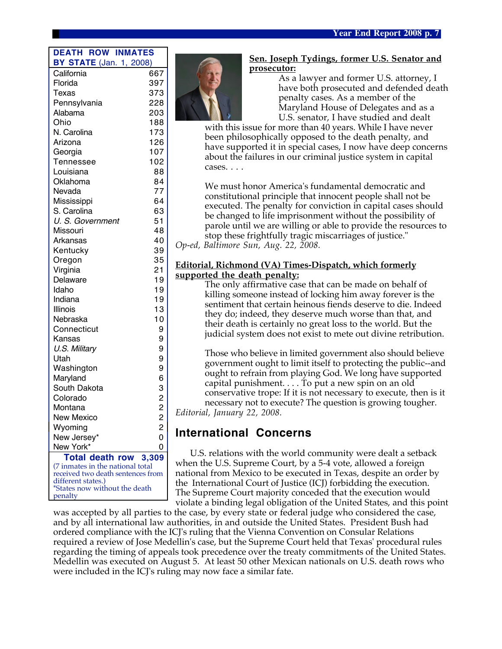#### **DEATH ROW INMATES BY STATE** (Jan. 1, 2008)

| California                                              | 667            |
|---------------------------------------------------------|----------------|
| Florida                                                 | 397            |
| Texas                                                   | 373            |
| Pennsylvania                                            | 228            |
| Alabama                                                 | 203            |
| Ohio                                                    | 188            |
| N. Carolina                                             | 173            |
| Arizona                                                 | 126            |
| Georgia                                                 | 107            |
| <b>Tennessee</b>                                        | 102            |
| Louisiana                                               | 88             |
| Oklahoma                                                | 84             |
| Nevada                                                  | 77             |
| Mississippi                                             | 64             |
| S. Carolina                                             | 63             |
| U. S. Government                                        | 51             |
| Missouri                                                | 48             |
| Arkansas                                                | 40             |
| Kentucky                                                | 39             |
| Oregon                                                  | 35             |
| Virginia                                                | 21             |
| Delaware                                                | 19             |
| Idaho                                                   | 19             |
| Indiana                                                 | 19             |
| Illinois                                                | 13             |
| Nebraska                                                | 10             |
| Connecticut                                             | 9              |
| Kansas                                                  | 9              |
| U.S. Military                                           | 9              |
| Utah                                                    | 9              |
| Washington                                              | 9              |
| Maryland                                                | 6              |
| South Dakota                                            |                |
| Colorado                                                | 3<br>2         |
| Montana                                                 | $\overline{c}$ |
| <b>New Mexico</b>                                       | $\overline{c}$ |
| Wyoming                                                 | $\overline{c}$ |
| New Jersey*                                             | 0              |
| New York*                                               |                |
| <b>Total death row</b>                                  | 3,309          |
| (7 inmates in the national total                        |                |
| received two death sentences from<br>different states.) |                |
| *States now without the death                           |                |
| penalty                                                 |                |



#### **Sen. Joseph Tydings, former U.S. Senator and prosecutor:**

As a lawyer and former U.S. attorney, I have both prosecuted and defended death penalty cases. As a member of the Maryland House of Delegates and as a U.S. senator, I have studied and dealt

with this issue for more than 40 years. While I have never been philosophically opposed to the death penalty, and have supported it in special cases, I now have deep concerns about the failures in our criminal justice system in capital cases. . . .

We must honor America's fundamental democratic and constitutional principle that innocent people shall not be executed. The penalty for conviction in capital cases should be changed to life imprisonment without the possibility of parole until we are willing or able to provide the resources to stop these frightfully tragic miscarriages of justice." *Op-ed, Baltimore Sun, Aug. 22, 2008.*

#### **Editorial, Richmond (VA) Times-Dispatch, which formerly supported the death penalty:**

The only affirmative case that can be made on behalf of killing someone instead of locking him away forever is the sentiment that certain heinous fiends deserve to die. Indeed they do; indeed, they deserve much worse than that, and their death is certainly no great loss to the world. But the judicial system does not exist to mete out divine retribution.

Those who believe in limited government also should believe government ought to limit itself to protecting the public--and ought to refrain from playing God. We long have supported capital punishment. . . . To put a new spin on an old conservative trope: If it is not necessary to execute, then is it necessary not to execute? The question is growing tougher. *Editorial, January 22, 2008.*

## **International Concerns**

U.S. relations with the world community were dealt a setback when the U.S. Supreme Court, by a 5-4 vote, allowed a foreign national from Mexico to be executed in Texas, despite an order by the International Court of Justice (ICJ) forbidding the execution. The Supreme Court majority conceded that the execution would violate a binding legal obligation of the United States, and this point

was accepted by all parties to the case, by every state or federal judge who considered the case, and by all international law authorities, in and outside the United States. President Bush had ordered compliance with the ICJ's ruling that the Vienna Convention on Consular Relations required a review of Jose Medellin's case, but the Supreme Court held that Texas' procedural rules regarding the timing of appeals took precedence over the treaty commitments of the United States. Medellin was executed on August 5. At least 50 other Mexican nationals on U.S. death rows who were included in the ICJ's ruling may now face a similar fate.